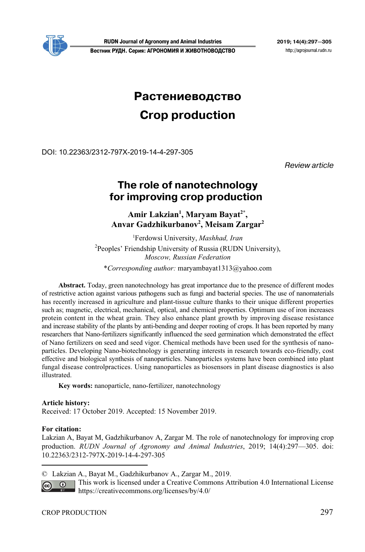

**RUDN Journal of Agronomy and Animal Industries 2019; 14(4):297—305 Вестник РУДН. Серия: АГРОНОМИЯ И ЖИВОТНОВОДСТВО** http://agrojournal.rudn.ru

# **Растениеводство**

# **Crop production**

DOI: 10.22363/2312-797X-2019-14-4-297-305

Review article

# **The role of nanotechnology**  for improving crop production

Amir Lakzian<sup>1</sup>, Maryam Bayat<sup>2\*</sup>, **Anvar Gadzhikurbanov2 , Meisam Zargar2**

1 Ferdowsi University, *Mashhad, Iran* <sup>2</sup> Peoples' Friendship University of Russia (RUDN University), *Moscow, Russian Federation* \**Corresponding author:* maryambayat1313@yahoo.com

**Abstract.** Today, green nanotechnology has great importance due to the presence of different modes of restrictive action against various pathogens such as fungi and bacterial species. The use of nanomaterials has recently increased in agriculture and plant-tissue culture thanks to their unique different properties such as; magnetic, electrical, mechanical, optical, and chemical properties. Optimum use of iron increases protein content in the wheat grain. They also enhance plant growth by improving disease resistance and increase stability of the plants by anti-bending and deeper rooting of crops. It has been reported by many researchers that Nano-fertilizers significantly influenced the seed germination which demonstrated the effect of Nano fertilizers on seed and seed vigor. Chemical methods have been used for the synthesis of nanoparticles. Developing Nano-biotechnology is generating interests in research towards eco-friendly, cost effective and biological synthesis of nanoparticles. Nanoparticles systems have been combined into plant fungal disease controlpractices. Using nanoparticles as biosensors in plant disease diagnostics is also illustrated.

**Key words:** nanoparticle, nano-fertilizer, nanotechnology

# **Article history:**

Received: 17 October 2019. Accepted: 15 November 2019.

# **For citation:**

 $\overline{a}$ 

Lakzian A, Bayat M, Gadzhikurbanov A, Zargar M. The role of nanotechnology for improving crop production. *RUDN Journal of Agronomy and Animal Industries*, 2019; 14(4):297—305. doi: 10.22363/2312-797X-2019-14-4-297-305

© Lakzian A., Bayat M., Gadzhikurbanov A., Zargar M., 2019.

This work is licensed under a Creative Commons Attribution 4.0 International License  $\overline{G}$ https://creativecommons.org/licenses/by/4.0/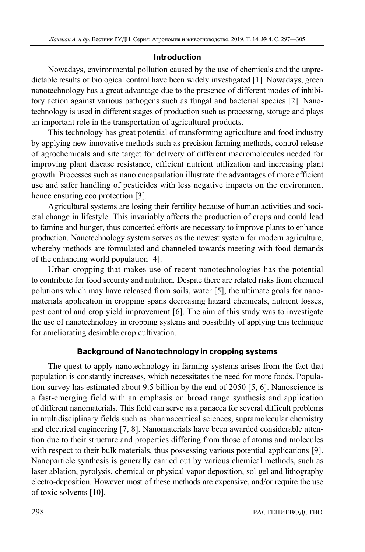# **Introduction**

Nowadays, environmental pollution caused by the use of chemicals and the unpredictable results of biological control have been widely investigated [1]. Nowadays, green nanotechnology has a great advantage due to the presence of different modes of inhibitory action against various pathogens such as fungal and bacterial species [2]. Nanotechnology is used in different stages of production such as processing, storage and plays an important role in the transportation of agricultural products.

This technology has great potential of transforming agriculture and food industry by applying new innovative methods such as precision farming methods, control release of agrochemicals and site target for delivery of different macromolecules needed for improving plant disease resistance, efficient nutrient utilization and increasing plant growth. Processes such as nano encapsulation illustrate the advantages of more efficient use and safer handling of pesticides with less negative impacts on the environment hence ensuring eco protection [3].

Agricultural systems are losing their fertility because of human activities and societal change in lifestyle. This invariably affects the production of crops and could lead to famine and hunger, thus concerted efforts are necessary to improve plants to enhance production. Nanotechnology system serves as the newest system for modern agriculture, whereby methods are formulated and channeled towards meeting with food demands of the enhancing world population [4].

Urban cropping that makes use of recent nanotechnologies has the potential to contribute for food security and nutrition. Despite there are related risks from chemical polutions which may have released from soils, water [5], the ultimate goals for nanomaterials application in cropping spans decreasing hazard chemicals, nutrient losses, pest control and crop yield improvement [6]. The aim of this study was to investigate the use of nanotechnology in cropping systems and possibility of applying this technique for ameliorating desirable crop cultivation.

# **Background of Nanotechnology in cropping systems**

The quest to apply nanotechnology in farming systems arises from the fact that population is constantly increases, which necessitates the need for more foods. Population survey has estimated about 9.5 billion by the end of 2050 [5, 6]. Nanoscience is a fast-emerging field with an emphasis on broad range synthesis and application of different nanomaterials. This field can serve as a panacea for several difficult problems in multidisciplinary fields such as pharmaceutical sciences, supramolecular chemistry and electrical engineering [7, 8]. Nanomaterials have been awarded considerable attention due to their structure and properties differing from those of atoms and molecules with respect to their bulk materials, thus possessing various potential applications [9]. Nanoparticle synthesis is generally carried out by various chemical methods, such as laser ablation, pyrolysis, chemical or physical vapor deposition, sol gel and lithography electro-deposition. However most of these methods are expensive, and/or require the use of toxic solvents [10].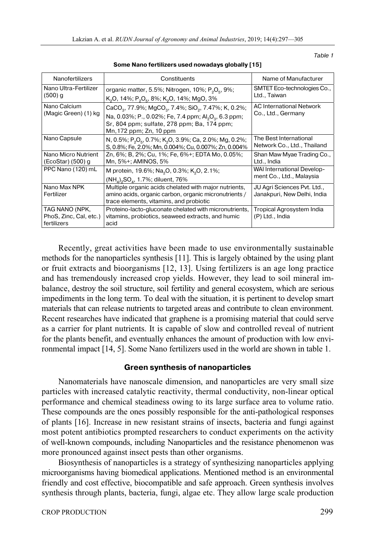| Nanofertilizers                                         | Constituents                                                                                                                                                                                                                                      | Name of Manufacturer                                       |
|---------------------------------------------------------|---------------------------------------------------------------------------------------------------------------------------------------------------------------------------------------------------------------------------------------------------|------------------------------------------------------------|
| Nano Ultra-Fertilizer<br>(500) a                        | organic matter, 5.5%; Nitrogen, 10%; $P_2O_5$ , 9%;<br>K <sub>2</sub> O, 14%; P <sub>2</sub> O <sub>5</sub> , 8%; K <sub>2</sub> O, 14%; MgO, 3%                                                                                                  | SMTET Eco-technologies Co.,<br>Ltd., Taiwan                |
| Nano Calcium<br>(Magic Green) (1) kg                    | CaCO <sub>3</sub> , 77.9%; MgCO <sub>3</sub> , 7.4%; SiO <sub>2</sub> , 7.47%; K, 0.2%;<br>Na, 0.03%; P., 0.02%; Fe, 7.4 ppm; Al <sub>2</sub> O <sub>3</sub> , 6.3 ppm;<br>Sr, 804 ppm; sulfate, 278 ppm; Ba, 174 ppm;<br>Mn, 172 ppm; Zn, 10 ppm | AC International Network<br>Co., Ltd., Germany             |
| Nano Capsule                                            | N, 0.5%; P <sub>2</sub> O <sub>5</sub> , 0.7%; K <sub>2</sub> O, 3.9%; Ca, 2.0%; Mg, 0.2%;<br>S, 0.8%; Fe, 2.0%; Mn, 0.004%; Cu, 0.007%; Zn, 0.004%                                                                                               | The Best International<br>Network Co., Ltd., Thailand      |
| Nano Micro Nutrient<br>(Ecostar) (500) g                | Zn, 6%; B, 2%; Cu, 1%; Fe, 6%+; EDTA Mo, 0.05%;<br>Mn, 5%+; AMINOS, 5%                                                                                                                                                                            | Shan Maw Myae Trading Co.,<br>Ltd., India                  |
| PPC Nano (120) mL                                       | M protein, 19.6%; Na <sub>2</sub> O, 0.3%; K <sub>2</sub> O, 2.1%;<br>$(NH4)2SO4$ , 1.7%; diluent, 76%                                                                                                                                            | WAI International Develop-<br>ment Co., Ltd., Malaysia     |
| Nano Max NPK<br>Fertilizer                              | Multiple organic acids chelated with major nutrients,<br>amino acids, organic carbon, organic micronutrients /<br>trace elements, vitamins, and probiotic                                                                                         | JU Agri Sciences Pvt. Ltd.,<br>Janakpuri, New Delhi, India |
| TAG NANO (NPK,<br>PhoS, Zinc, Cal, etc.)<br>fertilizers | Proteino-lacto-gluconate chelated with micronutrients,<br>vitamins, probiotics, seaweed extracts, and humic<br>acid                                                                                                                               | Tropical Agrosystem India<br>(P) Ltd., India               |

**Some Nano fertilizers used nowadays globally [15]** 

Recently, great activities have been made to use environmentally sustainable methods for the nanoparticles synthesis [11]. This is largely obtained by the using plant or fruit extracts and bioorganisms [12, 13]. Using fertilizers is an age long practice and has tremendously increased crop yields. However, they lead to soil mineral imbalance, destroy the soil structure, soil fertility and general ecosystem, which are serious impediments in the long term. To deal with the situation, it is pertinent to develop smart materials that can release nutrients to targeted areas and contribute to clean environment. Recent researches have indicated that graphene is a promising material that could serve as a carrier for plant nutrients. It is capable of slow and controlled reveal of nutrient for the plants benefit, and eventually enhances the amount of production with low environmental impact [14, 5]. Some Nano fertilizers used in the world are shown in table 1.

# **Green synthesis of nanoparticles**

Nanomaterials have nanoscale dimension, and nanoparticles are very small size particles with increased catalytic reactivity, thermal conductivity, non-linear optical performance and chemical steadiness owing to its large surface area to volume ratio. These compounds are the ones possibly responsible for the anti-pathological responses of plants [16]. Increase in new resistant strains of insects, bacteria and fungi against most potent antibiotics prompted researchers to conduct experiments on the activity of well-known compounds, including Nanoparticles and the resistance phenomenon was more pronounced against insect pests than other organisms.

Biosynthesis of nanoparticles is a strategy of synthesizing nanoparticles applying microorganisms having biomedical applications. Mentioned method is an environmental friendly and cost effective, biocompatible and safe approach. Green synthesis involves synthesis through plants, bacteria, fungi, algae etc. They allow large scale production

Table 1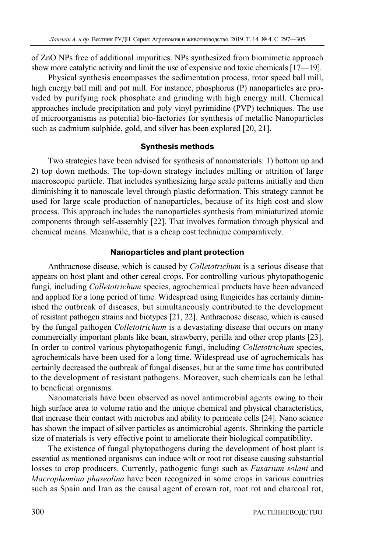of ZnO NPs free of additional impurities. NPs synthesized from biomimetic approach show more catalytic activity and limit the use of expensive and toxic chemicals [17—19].

Physical synthesis encompasses the sedimentation process, rotor speed ball mill, high energy ball mill and pot mill. For instance, phosphorus (P) nanoparticles are provided by purifying rock phosphate and grinding with high energy mill. Chemical approaches include precipitation and poly vinyl pyrimidine (PVP) techniques. The use of microorganisms as potential bio-factories for synthesis of metallic Nanoparticles such as cadmium sulphide, gold, and silver has been explored [20, 21].

#### **Synthesis methods**

Two strategies have been advised for synthesis of nanomaterials: 1) bottom up and 2) top down methods. The top-down strategy includes milling or attrition of large macroscopic particle. That includes synthesizing large scale patterns initially and then diminishing it to nanoscale level through plastic deformation. This strategy cannot be used for large scale production of nanoparticles, because of its high cost and slow process. This approach includes the nanoparticles synthesis from miniaturized atomic components through self-assembly [22]. That involves formation through physical and chemical means. Meanwhile, that is a cheap cost technique comparatively.

#### **Nanoparticles and plant protection**

Anthracnose disease, which is caused by *Colletotrichum* is a serious disease that appears on host plant and other cereal crops. For controlling various phytopathogenic fungi, including *Colletotrichum* species, agrochemical products have been advanced and applied for a long period of time. Widespread using fungicides has certainly diminished the outbreak of diseases, but simultaneously contributed to the development of resistant pathogen strains and biotypes [21, 22]. Anthracnose disease, which is caused by the fungal pathogen *Colletotrichum* is a devastating disease that occurs on many commercially important plants like bean, strawberry, perilla and other crop plants [23]. In order to control various phytopathogenic fungi, including *Colletotrichum* species, agrochemicals have been used for a long time. Widespread use of agrochemicals has certainly decreased the outbreak of fungal diseases, but at the same time has contributed to the development of resistant pathogens. Moreover, such chemicals can be lethal to beneficial organisms.

Nanomaterials have been observed as novel antimicrobial agents owing to their high surface area to volume ratio and the unique chemical and physical characteristics, that increase their contact with microbes and ability to permeate cells [24]. Nano science has shown the impact of silver particles as antimicrobial agents. Shrinking the particle size of materials is very effective point to ameliorate their biological compatibility.

The existence of fungal phytopathogens during the development of host plant is essential as mentioned organisms can induce wilt or root rot disease causing substantial losses to crop producers. Currently, pathogenic fungi such as *Fusarium solani* and *Macrophomina phaseolina* have been recognized in some crops in various countries such as Spain and Iran as the causal agent of crown rot, root rot and charcoal rot,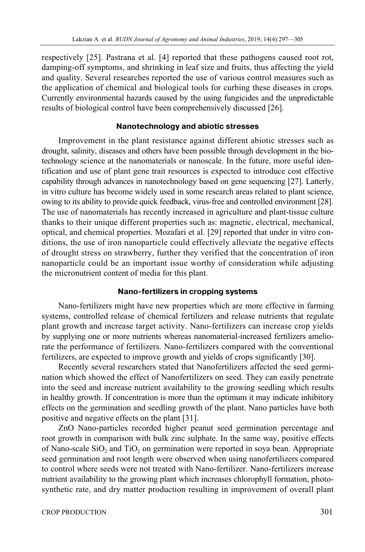respectively [25]. Pastrana et al. [4] reported that these pathogens caused root rot, damping-off symptoms, and shrinking in leaf size and fruits, thus affecting the yield and quality. Several researches reported the use of various control measures such as the application of chemical and biological tools for curbing these diseases in crops. Currently environmental hazards caused by the using fungicides and the unpredictable results of biological control have been comprehensively discussed [26].

# **Nanotechnology and abiotic stresses**

Improvement in the plant resistance against different abiotic stresses such as drought, salinity, diseases and others have been possible through development in the biotechnology science at the nanomaterials or nanoscale. In the future, more useful identification and use of plant gene trait resources is expected to introduce cost effective capability through advances in nanotechnology based on gene sequencing [27]. Latterly, in vitro culture has become widely used in some research areas related to plant science, owing to its ability to provide quick feedback, virus-free and controlled environment [28]. The use of nanomaterials has recently increased in agriculture and plant-tissue culture thanks to their unique different properties such as: magnetic, electrical, mechanical, optical, and chemical properties. Mozafari et al. [29] reported that under in vitro conditions, the use of iron nanoparticle could effectively alleviate the negative effects of drought stress on strawberry, further they verified that the concentration of iron nanoparticle could be an important issue worthy of consideration while adjusting the micronutrient content of media for this plant.

# **Nano-fertilizers in cropping systems**

Nano-fertilizers might have new properties which are more effective in farming systems, controlled release of chemical fertilizers and release nutrients that regulate plant growth and increase target activity. Nano-fertilizers can increase crop yields by supplying one or more nutrients whereas nanomaterial-increased fertilizers ameliorate the performance of fertilizers. Nano-fertilizers compared with the conventional fertilizers, are expected to improve growth and yields of crops significantly [30].

Recently several researchers stated that Nanofertilizers affected the seed germination which showed the effect of Nanofertilizers on seed. They can easily penetrate into the seed and increase nutrient availability to the growing seedling which results in healthy growth. If concentration is more than the optimum it may indicate inhibitory effects on the germination and seedling growth of the plant. Nano particles have both positive and negative effects on the plant [31].

ZnO Nano-particles recorded higher peanut seed germination percentage and root growth in comparison with bulk zinc sulphate. In the same way, positive effects of Nano-scale  $SiO<sub>2</sub>$  and  $TiO<sub>2</sub>$  on germination were reported in soya bean. Appropriate seed germination and root length were observed when using nanofertilizers compared to control where seeds were not treated with Nano-fertilizer. Nano-fertilizers increase nutrient availability to the growing plant which increases chlorophyll formation, photosynthetic rate, and dry matter production resulting in improvement of overall plant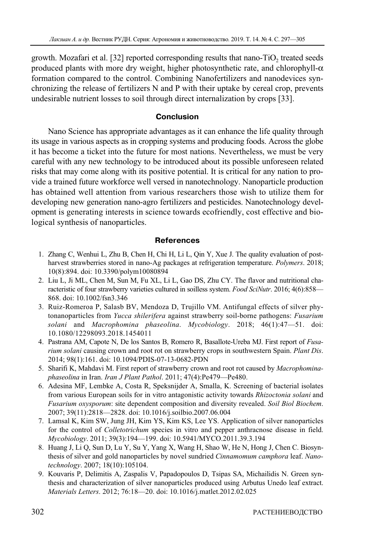growth. Mozafari et al. [32] reported corresponding results that nano-TiO<sub>2</sub> treated seeds produced plants with more dry weight, higher photosynthetic rate, and chlorophyll- $\alpha$ formation compared to the control. Combining Nanofertilizers and nanodevices synchronizing the release of fertilizers N and P with their uptake by cereal crop, prevents undesirable nutrient losses to soil through direct internalization by crops [33].

# **Conclusion**

Nano Science has appropriate advantages as it can enhance the life quality through its usage in various aspects as in cropping systems and producing foods. Across the globe it has become a ticket into the future for most nations. Nevertheless, we must be very careful with any new technology to be introduced about its possible unforeseen related risks that may come along with its positive potential. It is critical for any nation to provide a trained future workforce well versed in nanotechnology. Nanoparticle production has obtained well attention from various researchers those wish to utilize them for developing new generation nano-agro fertilizers and pesticides. Nanotechnology development is generating interests in science towards ecofriendly, cost effective and biological synthesis of nanoparticles.

# **References**

- 1. Zhang C, Wenhui L, Zhu B, Chen H, Chi H, Li L, Qin Y, Xue J. The quality evaluation of postharvest strawberries stored in nano-Ag packages at refrigeration temperature. *Polymers*. 2018; 10(8):894. doi: 10.3390/polym10080894
- 2. Liu L, Ji ML, Chen M, Sun M, Fu XL, Li L, Gao DS, Zhu CY. The flavor and nutritional characteristic of four strawberry varieties cultured in soilless system. *Food SciNutr*. 2016; 4(6):858— 868. doi: 10.1002/fsn3.346
- 3. Ruiz-Romeroa P, Salasb BV, Mendoza D, Trujillo VM. Antifungal effects of silver phytonanoparticles from *Yucca shilerifera* against strawberry soil-borne pathogens: *Fusarium solani* and *Macrophomina phaseolina*. *Mycobiology*. 2018; 46(1):47—51. doi: 10.1080/12298093.2018.1454011
- 4. Pastrana AM, Capote N, De los Santos B, Romero R, Basallote-Ureba MJ. First report of *Fusarium solani* causing crown and root rot on strawberry crops in southwestern Spain. *Plant Dis*. 2014; 98(1):161. doi: 10.1094/PDIS-07-13-0682-PDN
- 5. Sharifi K, Mahdavi M. First report of strawberry crown and root rot caused by *Macrophominaphaseolina* in Iran. *Iran J Plant Pathol*. 2011; 47(4):Pe479—Pe480.
- 6. Adesina MF, Lembke A, Costa R, Speksnijder A, Smalla, K. Screening of bacterial isolates from various European soils for in vitro antagonistic activity towards *Rhizoctonia solani* and *Fusarium oxysporum*: site dependent composition and diversity revealed. *Soil Biol Biochem*. 2007; 39(11):2818—2828. doi: 10.1016/j.soilbio.2007.06.004
- 7. Lamsal K, Kim SW, Jung JH, Kim YS, Kim KS, Lee YS. Application of silver nanoparticles for the control of *Colletotrichum* species in vitro and pepper anthracnose disease in field. *Mycobiology*. 2011; 39(3):194—199. doi: 10.5941/MYCO.2011.39.3.194
- 8. Huang J, Li Q, Sun D, Lu Y, Su Y, Yang X, Wang H, Shao W, He N, Hong J, Chen C. Biosynthesis of silver and gold nanoparticles by novel sundried *Cinnamomum camphora* leaf. *Nanotechnology*. 2007; 18(10):105104.
- 9. Kouvaris P, Delimitis A, Zaspalis V, Papadopoulos D, Tsipas SA, Michailidis N. Green synthesis and characterization of silver nanoparticles produced using Arbutus Unedo leaf extract. *Materials Letters*. 2012; 76:18—20. doi: 10.1016/j.matlet.2012.02.025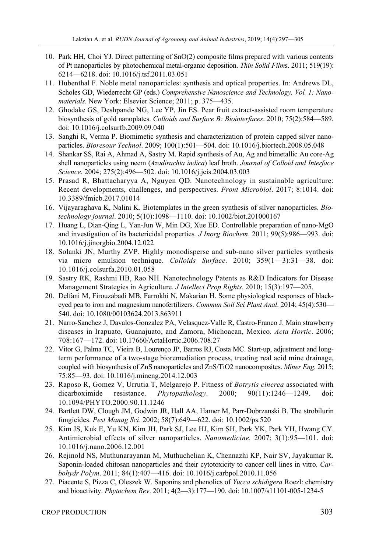- 10. Park HH, Choi YJ. Direct patterning of SnO(2) composite films prepared with various contents of Pt nanoparticles by photochemical metal-organic deposition. *Thin Solid Film*s. 2011; 519(19): 6214—6218. doi: 10.1016/j.tsf.2011.03.051
- 11. Hubenthal F. Noble metal nanoparticles: synthesis and optical properties. In: Andrews DL, Scholes GD, Wiederrecht GP (eds.) *Comprehensive Nanoscience and Technology. Vol. 1: Nanomaterials.* New York: Elsevier Science; 2011; p. 375—435.
- 12. Ghodake GS, Deshpande NG, Lee YP, Jin ES. Pear fruit extract-assisted room temperature biosynthesis of gold nanoplates. *Colloids and Surface B: Biointerfaces*. 2010; 75(2):584—589. doi: 10.1016/j.colsurfb.2009.09.040
- 13. Sanghi R, Verma P. Biomimetic synthesis and characterization of protein capped silver nanoparticles. *Bioresour Technol*. 2009; 100(1):501—504. doi: 10.1016/j.biortech.2008.05.048
- 14. Shankar SS, Rai A, Ahmad A, Sastry M. Rapid synthesis of Au, Ag and bimetallic Au core-Ag shell nanoparticles using neem (*Azadirachta indica*) leaf broth. *Journal of Colloid and Interface Science*. 2004; 275(2):496—502. doi: 10.1016/j.jcis.2004.03.003
- 15. Prasad R, Bhattacharyya A, Nguyen QD. Nanotechnology in sustainable agriculture: Recent developments, challenges, and perspectives. *Front Microbiol*. 2017; 8:1014. doi: 10.3389/fmicb.2017.01014
- 16. Vijayaraghava K, Nalini K. Biotemplates in the green synthesis of silver nanoparticles. *Biotechnology journal*. 2010; 5(10):1098—1110. doi: 10.1002/biot.201000167
- 17. Huang L, Dian-Qing L, Yan-Jun W, Min DG, Xue ED. Controllable preparation of nano-MgO and investigation of its bactericidal properties*. J Inorg Biochem*. 2011; 99(5):986—993. doi: 10.1016/j.jinorgbio.2004.12.022
- 18. Solanki JN, Murthy ZVP. Highly monodisperse and sub-nano silver particles synthesis via micro emulsion technique. *Colloids Surface*. 2010; 359(1—3):31—38. doi: 10.1016/j.colsurfa.2010.01.058
- 19. Sastry RK, Rashmi HB, Rao NH. Nanotechnology Patents as R&D Indicators for Disease Management Strategies in Agriculture. *J Intellect Prop Rights.* 2010; 15(3):197—205.
- 20. Delfani M, Firouzabadi MB, Farrokhi N, Makarian H. Some physiological responses of blackeyed pea to iron and magnesium nanofertilizers. *Commun Soil Sci Plant Anal*. 2014; 45(4):530— 540. doi: 10.1080/00103624.2013.863911
- 21. Narro-Sanchez J, Davalos-Gonzalez PA, Velasquez-Valle R, Castro-Franco J. Main strawberry diseases in Irapuato, Guanajuato, and Zamora, Michoacan, Mexico. *Acta Hortic*. 2006; 708:167—172. doi: 10.17660/ActaHortic.2006.708.27
- 22. Vitor G, Palma TC, Vieira B, Lourenço JP, Barros RJ, Costa MC. Start-up, adjustment and longterm performance of a two-stage bioremediation process, treating real acid mine drainage, coupled with biosynthesis of ZnS nanoparticles and ZnS/TiO2 nanocomposites. *Miner Eng.* 2015; 75:85—93. doi: 10.1016/j.mineng.2014.12.003
- 23. Raposo R, Gomez V, Urrutia T, Melgarejo P. Fitness of *Botrytis cinerea* associated with dicarboximide resistance. *Phytopathology*. 2000; 90(11):1246—1249. doi: 10.1094/PHYTO.2000.90.11.1246
- 24. Bartlett DW, Clough JM, Godwin JR, Hall AA, Hamer M, Parr-Dobrzanski B. The strobilurin fungicides. *Pest Manag Sci*. 2002; 58(7):649—622. doi: 10.1002/ps.520
- 25. Kim JS, Kuk E, Yu KN, Kim JH, Park SJ, Lee HJ, Kim SH, Park YK, Park YH, Hwang CY. Antimicrobial effects of silver nanoparticles. *Nanomedicine.* 2007; 3(1):95—101. doi: 10.1016/j.nano.2006.12.001
- 26. Rejinold NS, Muthunarayanan M, Muthuchelian K, Chennazhi KP, Nair SV, Jayakumar R. Saponin-loaded chitosan nanoparticles and their cytotoxicity to cancer cell lines in vitro. *Carbohydr Polym*. 2011; 84(1):407—416. doi: 10.1016/j.carbpol.2010.11.056
- 27. Piacente S, Pizza C, Oleszek W. Saponins and phenolics of *Yucca schidigera* Roezl: chemistry and bioactivity. *Phytochem Rev*. 2011; 4(2—3):177—190. doi: 10.1007/s11101-005-1234-5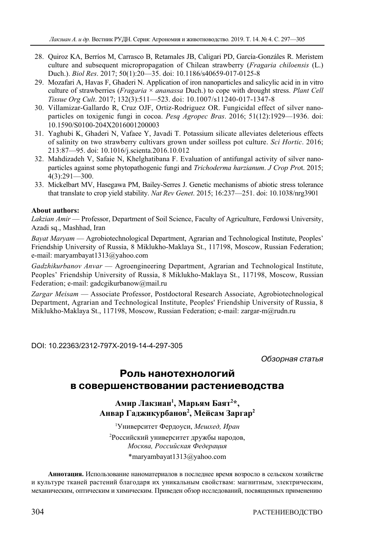- 28. Quiroz KA, Berríos M, Carrasco B, Retamales JB, Caligari PD, García-Gonzáles R. Meristem culture and subsequent micropropagation of Chilean strawberry (*Fragaria chiloensis* (L.) Duch.). *Biol Res*. 2017; 50(1):20—35. doi: 10.1186/s40659-017-0125-8
- 29. Mozafari A, Havas F, Ghaderi N. Application of iron nanoparticles and salicylic acid in in vitro culture of strawberries (*Fragaria* × *ananassa* Duch.) to cope with drought stress. *Plant Cell Tissue Org Cult*. 2017; 132(3):511—523. doi: 10.1007/s11240-017-1347-8
- 30. Villamizar-Gallardo R, Cruz OJF, Ortiz-Rodriguez OR. Fungicidal effect of silver nanoparticles on toxigenic fungi in cocoa. *Pesq Agropec Bras*. 2016; 51(12):1929—1936. doi: 10.1590/S0100-204X2016001200003
- 31. Yaghubi K, Ghaderi N, Vafaee Y, Javadi T. Potassium silicate alleviates deleterious effects of salinity on two strawberry cultivars grown under soilless pot culture. *Sci Hortic*. 2016; 213:87—95. doi: 10.1016/j.scienta.2016.10.012
- 32. Mahdizadeh V, Safaie N, Khelghatibana F. Evaluation of antifungal activity of silver nanoparticles against some phytopathogenic fungi and *Trichoderma harzianum*. *J Crop Pro*t. 2015; 4(3):291—300.
- 33. Mickelbart MV, Hasegawa PM, Bailey-Serres J. Genetic mechanisms of abiotic stress tolerance that translate to crop yield stability. *Nat Rev Genet*. 2015; 16:237—251. doi: 10.1038/nrg3901

#### **About authors:**

*Lakzian Amir* — Professor, Department of Soil Science, Faculty of Agriculture, Ferdowsi University, Azadi sq., Mashhad, Iran

*Bayat Maryam* — Agrobiotechnological Department, Agrarian and Technological Institute, Peoples' Friendship University of Russia, 8 Miklukho-Maklaya St., 117198, Moscow, Russian Federation; e-mail: maryambayat1313@yahoo.com

*Gadzhikurbanov Anvar* — Agroengineering Department, Agrarian and Technological Institute, Peoples' Friendship University of Russia, 8 Miklukho-Maklaya St., 117198, Moscow, Russian Federation; e-mail: gadcgikurbanow@mail.ru

*Zargar Meisam* — Associate Professor, Postdoctoral Research Associate, Agrobiotechnological Department, Agrarian and Technological Institute, Peoples' Friendship University of Russia, 8 Miklukho-Maklaya St., 117198, Moscow, Russian Federation; e-mail: zargar-m@rudn.ru

DOI: 10.22363/2312-797X-2019-14-4-297-305

Обзорная статья

# **Роль нанотехнологий в совершенствовании растениеводства**

**Амир Лакзиан1 , Марьям Баят2 \*, Анвар Гаджикурбанов2 , Мейсам Заргар2**

1 Университет Фердоуси, *Мешхед, Иран* 2 Российский университет дружбы народов, *Москва, Российская Федерация* \*maryambayat1313@yahoo.com

**Аннотация.** Использование наноматериалов в последнее время возросло в сельском хозяйстве и культуре тканей растений благодаря их уникальным свойствам: магнитным, электрическим, механическим, оптическим и химическим. Приведен обзор исследований, посвященных применению